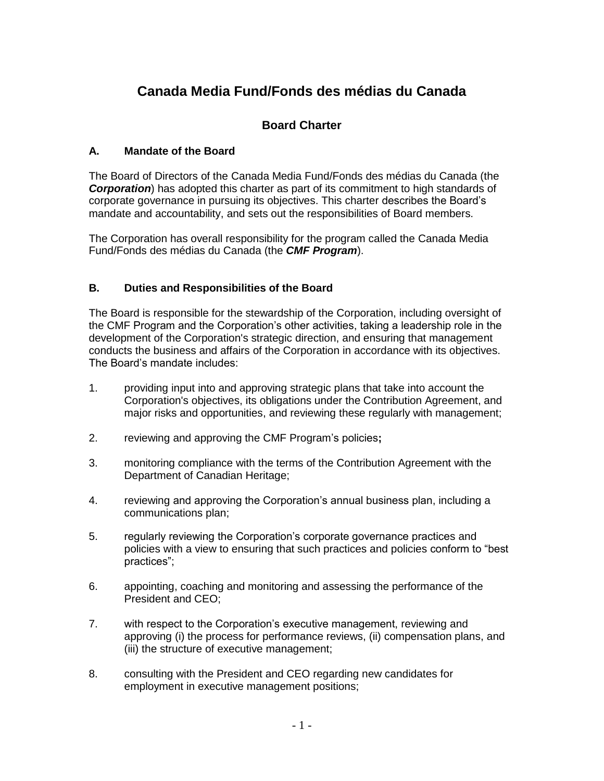# **Canada Media Fund/Fonds des médias du Canada**

# **Board Charter**

## **A. Mandate of the Board**

The Board of Directors of the Canada Media Fund/Fonds des médias du Canada (the *Corporation*) has adopted this charter as part of its commitment to high standards of corporate governance in pursuing its objectives. This charter describes the Board's mandate and accountability, and sets out the responsibilities of Board members.

The Corporation has overall responsibility for the program called the Canada Media Fund/Fonds des médias du Canada (the *CMF Program*).

#### **B. Duties and Responsibilities of the Board**

The Board is responsible for the stewardship of the Corporation, including oversight of the CMF Program and the Corporation's other activities, taking a leadership role in the development of the Corporation's strategic direction, and ensuring that management conducts the business and affairs of the Corporation in accordance with its objectives. The Board's mandate includes:

- 1. providing input into and approving strategic plans that take into account the Corporation's objectives, its obligations under the Contribution Agreement, and major risks and opportunities, and reviewing these regularly with management;
- 2. reviewing and approving the CMF Program's policies**;**
- 3. monitoring compliance with the terms of the Contribution Agreement with the Department of Canadian Heritage;
- 4. reviewing and approving the Corporation's annual business plan, including a communications plan;
- 5. regularly reviewing the Corporation's corporate governance practices and policies with a view to ensuring that such practices and policies conform to "best practices";
- 6. appointing, coaching and monitoring and assessing the performance of the President and CEO;
- 7. with respect to the Corporation's executive management, reviewing and approving (i) the process for performance reviews, (ii) compensation plans, and (iii) the structure of executive management;
- 8. consulting with the President and CEO regarding new candidates for employment in executive management positions;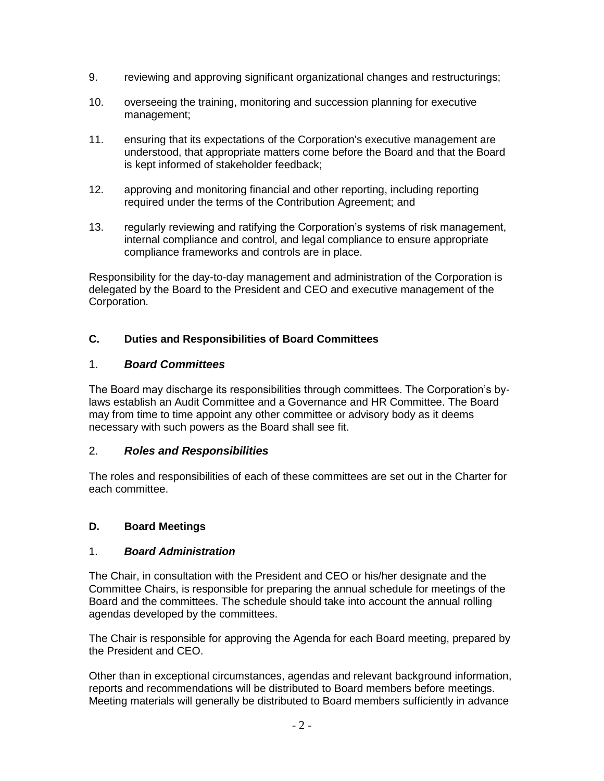- 9. reviewing and approving significant organizational changes and restructurings;
- 10. overseeing the training, monitoring and succession planning for executive management;
- 11. ensuring that its expectations of the Corporation's executive management are understood, that appropriate matters come before the Board and that the Board is kept informed of stakeholder feedback;
- 12. approving and monitoring financial and other reporting, including reporting required under the terms of the Contribution Agreement; and
- 13. regularly reviewing and ratifying the Corporation's systems of risk management, internal compliance and control, and legal compliance to ensure appropriate compliance frameworks and controls are in place.

Responsibility for the day-to-day management and administration of the Corporation is delegated by the Board to the President and CEO and executive management of the Corporation.

## **C. Duties and Responsibilities of Board Committees**

#### 1. *Board Committees*

The Board may discharge its responsibilities through committees. The Corporation's bylaws establish an Audit Committee and a Governance and HR Committee. The Board may from time to time appoint any other committee or advisory body as it deems necessary with such powers as the Board shall see fit.

#### 2. *Roles and Responsibilities*

The roles and responsibilities of each of these committees are set out in the Charter for each committee.

#### **D. Board Meetings**

#### 1. *Board Administration*

The Chair, in consultation with the President and CEO or his/her designate and the Committee Chairs, is responsible for preparing the annual schedule for meetings of the Board and the committees. The schedule should take into account the annual rolling agendas developed by the committees.

The Chair is responsible for approving the Agenda for each Board meeting, prepared by the President and CEO.

Other than in exceptional circumstances, agendas and relevant background information, reports and recommendations will be distributed to Board members before meetings. Meeting materials will generally be distributed to Board members sufficiently in advance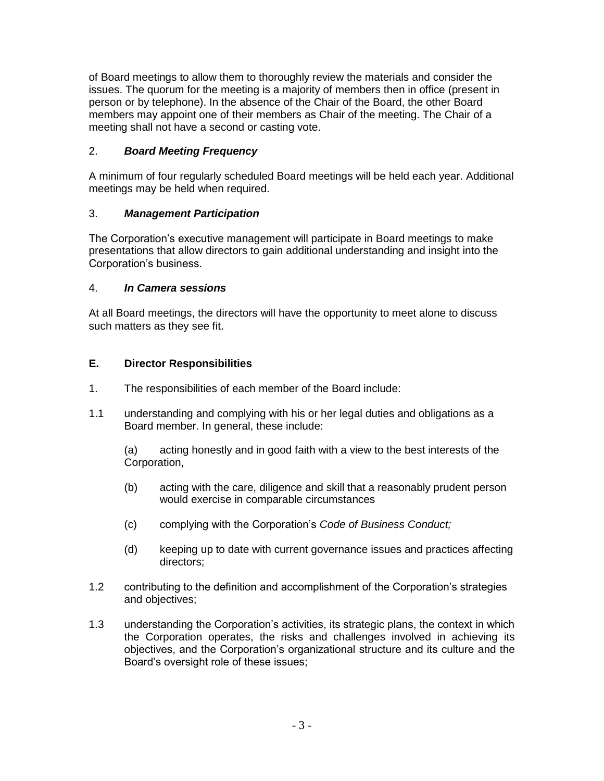of Board meetings to allow them to thoroughly review the materials and consider the issues. The quorum for the meeting is a majority of members then in office (present in person or by telephone). In the absence of the Chair of the Board, the other Board members may appoint one of their members as Chair of the meeting. The Chair of a meeting shall not have a second or casting vote.

## 2. *Board Meeting Frequency*

A minimum of four regularly scheduled Board meetings will be held each year. Additional meetings may be held when required.

## 3. *Management Participation*

The Corporation's executive management will participate in Board meetings to make presentations that allow directors to gain additional understanding and insight into the Corporation's business.

#### 4. *In Camera sessions*

At all Board meetings, the directors will have the opportunity to meet alone to discuss such matters as they see fit.

## **E. Director Responsibilities**

- 1. The responsibilities of each member of the Board include:
- 1.1 understanding and complying with his or her legal duties and obligations as a Board member. In general, these include:

(a) acting honestly and in good faith with a view to the best interests of the Corporation,

- (b) acting with the care, diligence and skill that a reasonably prudent person would exercise in comparable circumstances
- (c) complying with the Corporation's *Code of Business Conduct;*
- (d) keeping up to date with current governance issues and practices affecting directors;
- 1.2 contributing to the definition and accomplishment of the Corporation's strategies and objectives;
- 1.3 understanding the Corporation's activities, its strategic plans, the context in which the Corporation operates, the risks and challenges involved in achieving its objectives, and the Corporation's organizational structure and its culture and the Board's oversight role of these issues;